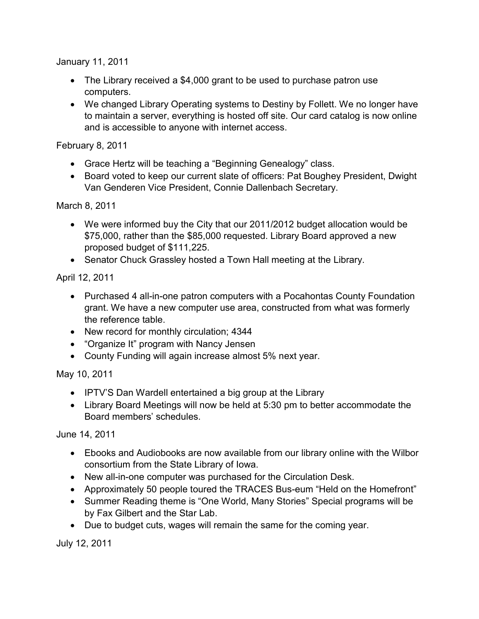January 11, 2011

- The Library received a \$4,000 grant to be used to purchase patron use computers.
- We changed Library Operating systems to Destiny by Follett. We no longer have to maintain a server, everything is hosted off site. Our card catalog is now online and is accessible to anyone with internet access.

February 8, 2011

- Grace Hertz will be teaching a "Beginning Genealogy" class.
- Board voted to keep our current slate of officers: Pat Boughey President, Dwight Van Genderen Vice President, Connie Dallenbach Secretary.

March 8, 2011

- We were informed buy the City that our 2011/2012 budget allocation would be \$75,000, rather than the \$85,000 requested. Library Board approved a new proposed budget of \$111,225.
- Senator Chuck Grassley hosted a Town Hall meeting at the Library.

April 12, 2011

- Purchased 4 all-in-one patron computers with a Pocahontas County Foundation grant. We have a new computer use area, constructed from what was formerly the reference table.
- New record for monthly circulation; 4344
- "Organize It" program with Nancy Jensen
- County Funding will again increase almost 5% next year.

May 10, 2011

- IPTV'S Dan Wardell entertained a big group at the Library
- Library Board Meetings will now be held at 5:30 pm to better accommodate the Board members' schedules.

June 14, 2011

- Ebooks and Audiobooks are now available from our library online with the Wilbor consortium from the State Library of Iowa.
- New all-in-one computer was purchased for the Circulation Desk.
- Approximately 50 people toured the TRACES Bus-eum "Held on the Homefront"
- Summer Reading theme is "One World, Many Stories" Special programs will be by Fax Gilbert and the Star Lab.
- Due to budget cuts, wages will remain the same for the coming year.

July 12, 2011